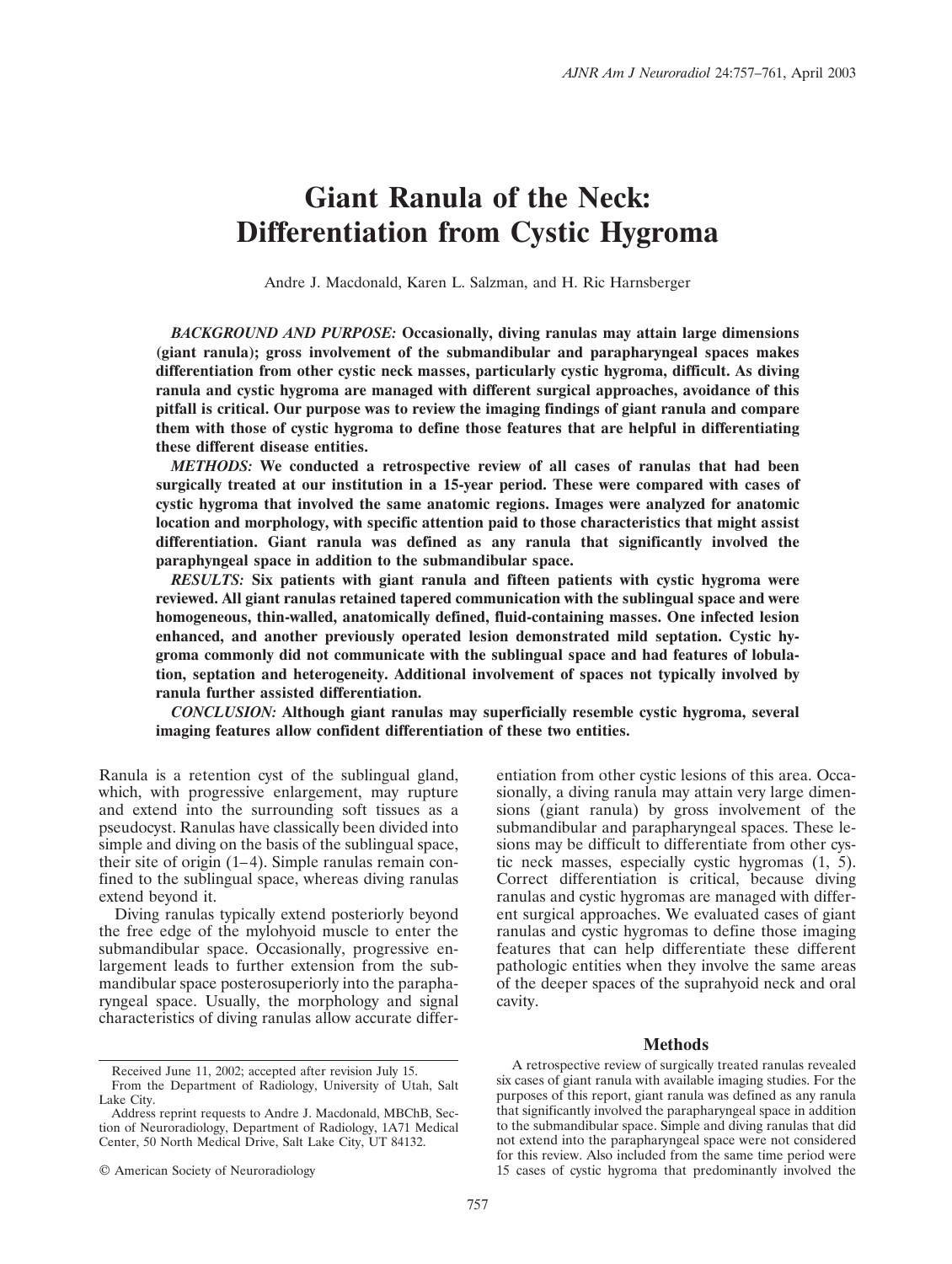# **Giant Ranula of the Neck: Differentiation from Cystic Hygroma**

Andre J. Macdonald, Karen L. Salzman, and H. Ric Harnsberger

*BACKGROUND AND PURPOSE:* **Occasionally, diving ranulas may attain large dimensions (giant ranula); gross involvement of the submandibular and parapharyngeal spaces makes differentiation from other cystic neck masses, particularly cystic hygroma, difficult. As diving ranula and cystic hygroma are managed with different surgical approaches, avoidance of this pitfall is critical. Our purpose was to review the imaging findings of giant ranula and compare them with those of cystic hygroma to define those features that are helpful in differentiating these different disease entities.**

*METHODS:* **We conducted a retrospective review of all cases of ranulas that had been surgically treated at our institution in a 15-year period. These were compared with cases of cystic hygroma that involved the same anatomic regions. Images were analyzed for anatomic location and morphology, with specific attention paid to those characteristics that might assist differentiation. Giant ranula was defined as any ranula that significantly involved the paraphyngeal space in addition to the submandibular space.**

*RESULTS:* **Six patients with giant ranula and fifteen patients with cystic hygroma were reviewed. All giant ranulas retained tapered communication with the sublingual space and were homogeneous, thin-walled, anatomically defined, fluid-containing masses. One infected lesion enhanced, and another previously operated lesion demonstrated mild septation. Cystic hygroma commonly did not communicate with the sublingual space and had features of lobulation, septation and heterogeneity. Additional involvement of spaces not typically involved by ranula further assisted differentiation.**

*CONCLUSION:* **Although giant ranulas may superficially resemble cystic hygroma, several imaging features allow confident differentiation of these two entities.**

Ranula is a retention cyst of the sublingual gland, which, with progressive enlargement, may rupture and extend into the surrounding soft tissues as a pseudocyst. Ranulas have classically been divided into simple and diving on the basis of the sublingual space, their site of origin (1–4). Simple ranulas remain confined to the sublingual space, whereas diving ranulas extend beyond it.

Diving ranulas typically extend posteriorly beyond the free edge of the mylohyoid muscle to enter the submandibular space. Occasionally, progressive enlargement leads to further extension from the submandibular space posterosuperiorly into the parapharyngeal space. Usually, the morphology and signal characteristics of diving ranulas allow accurate differentiation from other cystic lesions of this area. Occasionally, a diving ranula may attain very large dimensions (giant ranula) by gross involvement of the submandibular and parapharyngeal spaces. These lesions may be difficult to differentiate from other cystic neck masses, especially cystic hygromas (1, 5). Correct differentiation is critical, because diving ranulas and cystic hygromas are managed with different surgical approaches. We evaluated cases of giant ranulas and cystic hygromas to define those imaging features that can help differentiate these different pathologic entities when they involve the same areas of the deeper spaces of the suprahyoid neck and oral cavity.

# **Methods**

A retrospective review of surgically treated ranulas revealed six cases of giant ranula with available imaging studies. For the purposes of this report, giant ranula was defined as any ranula that significantly involved the parapharyngeal space in addition to the submandibular space. Simple and diving ranulas that did not extend into the parapharyngeal space were not considered for this review. Also included from the same time period were 15 cases of cystic hygroma that predominantly involved the

Received June 11, 2002; accepted after revision July 15. From the Department of Radiology, University of Utah, Salt Lake City.

Address reprint requests to Andre J. Macdonald, MBChB, Section of Neuroradiology, Department of Radiology, 1A71 Medical Center, 50 North Medical Drive, Salt Lake City, UT 84132.

<sup>©</sup> American Society of Neuroradiology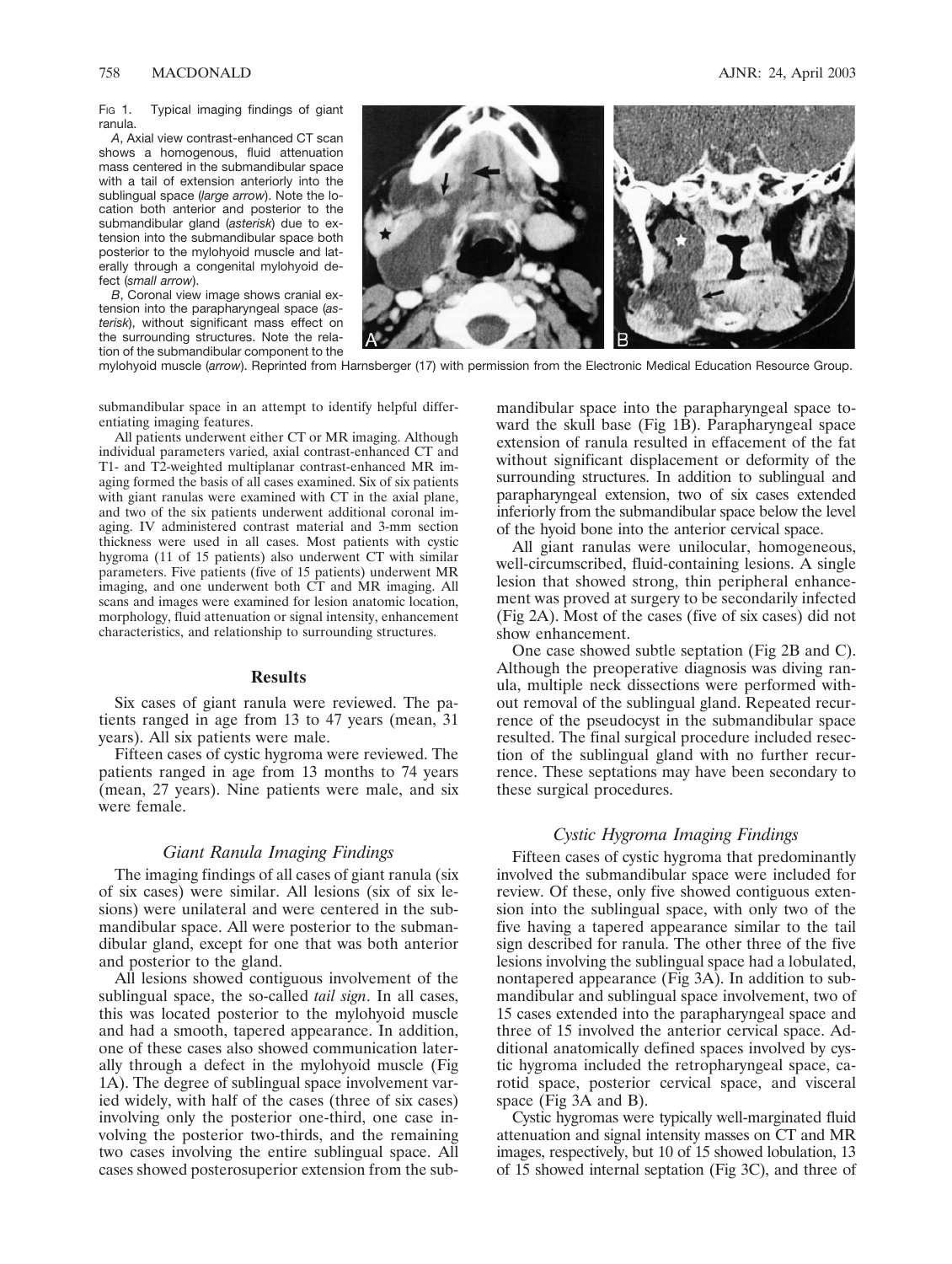FIG 1. Typical imaging findings of giant ranula.

*A*, Axial view contrast-enhanced CT scan shows a homogenous, fluid attenuation mass centered in the submandibular space with a tail of extension anteriorly into the sublingual space (*large arrow*). Note the location both anterior and posterior to the submandibular gland (*asterisk*) due to extension into the submandibular space both posterior to the mylohyoid muscle and laterally through a congenital mylohyoid defect (*small arrow*).

*B*, Coronal view image shows cranial extension into the parapharyngeal space (*asterisk*), without significant mass effect on the surrounding structures. Note the relation of the submandibular component to the



mylohyoid muscle (*arrow*). Reprinted from Harnsberger (17) with permission from the Electronic Medical Education Resource Group.

submandibular space in an attempt to identify helpful differentiating imaging features.

All patients underwent either CT or MR imaging. Although individual parameters varied, axial contrast-enhanced CT and T1- and T2-weighted multiplanar contrast-enhanced MR imaging formed the basis of all cases examined. Six of six patients with giant ranulas were examined with CT in the axial plane, and two of the six patients underwent additional coronal imaging. IV administered contrast material and 3-mm section thickness were used in all cases. Most patients with cystic hygroma (11 of 15 patients) also underwent CT with similar parameters. Five patients (five of 15 patients) underwent MR imaging, and one underwent both CT and MR imaging. All scans and images were examined for lesion anatomic location, morphology, fluid attenuation or signal intensity, enhancement characteristics, and relationship to surrounding structures.

#### **Results**

Six cases of giant ranula were reviewed. The patients ranged in age from 13 to 47 years (mean, 31 years). All six patients were male.

Fifteen cases of cystic hygroma were reviewed. The patients ranged in age from 13 months to 74 years (mean, 27 years). Nine patients were male, and six were female.

## *Giant Ranula Imaging Findings*

The imaging findings of all cases of giant ranula (six of six cases) were similar. All lesions (six of six lesions) were unilateral and were centered in the submandibular space. All were posterior to the submandibular gland, except for one that was both anterior and posterior to the gland.

All lesions showed contiguous involvement of the sublingual space, the so-called *tail sign*. In all cases, this was located posterior to the mylohyoid muscle and had a smooth, tapered appearance. In addition, one of these cases also showed communication laterally through a defect in the mylohyoid muscle (Fig 1A). The degree of sublingual space involvement varied widely, with half of the cases (three of six cases) involving only the posterior one-third, one case involving the posterior two-thirds, and the remaining two cases involving the entire sublingual space. All cases showed posterosuperior extension from the submandibular space into the parapharyngeal space toward the skull base (Fig 1B). Parapharyngeal space extension of ranula resulted in effacement of the fat without significant displacement or deformity of the surrounding structures. In addition to sublingual and parapharyngeal extension, two of six cases extended inferiorly from the submandibular space below the level of the hyoid bone into the anterior cervical space.

All giant ranulas were unilocular, homogeneous, well-circumscribed, fluid-containing lesions. A single lesion that showed strong, thin peripheral enhancement was proved at surgery to be secondarily infected (Fig 2A). Most of the cases (five of six cases) did not show enhancement.

One case showed subtle septation (Fig 2B and C). Although the preoperative diagnosis was diving ranula, multiple neck dissections were performed without removal of the sublingual gland. Repeated recurrence of the pseudocyst in the submandibular space resulted. The final surgical procedure included resection of the sublingual gland with no further recurrence. These septations may have been secondary to these surgical procedures.

### *Cystic Hygroma Imaging Findings*

Fifteen cases of cystic hygroma that predominantly involved the submandibular space were included for review. Of these, only five showed contiguous extension into the sublingual space, with only two of the five having a tapered appearance similar to the tail sign described for ranula. The other three of the five lesions involving the sublingual space had a lobulated, nontapered appearance (Fig 3A). In addition to submandibular and sublingual space involvement, two of 15 cases extended into the parapharyngeal space and three of 15 involved the anterior cervical space. Additional anatomically defined spaces involved by cystic hygroma included the retropharyngeal space, carotid space, posterior cervical space, and visceral space (Fig 3A and B).

Cystic hygromas were typically well-marginated fluid attenuation and signal intensity masses on CT and MR images, respectively, but 10 of 15 showed lobulation, 13 of 15 showed internal septation (Fig 3C), and three of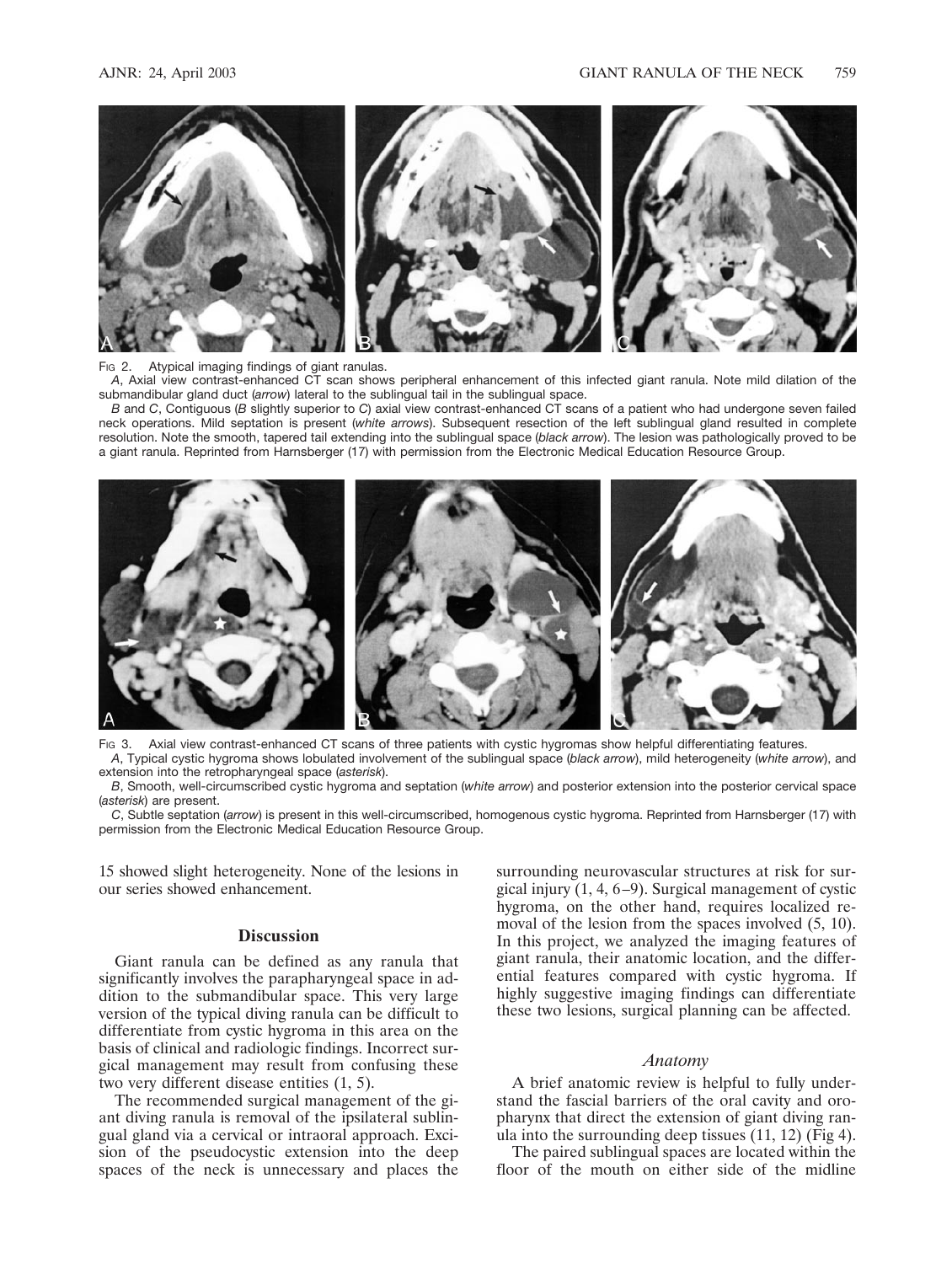

## FIG 2. Atypical imaging findings of giant ranulas.

*A*, Axial view contrast-enhanced CT scan shows peripheral enhancement of this infected giant ranula. Note mild dilation of the submandibular gland duct (*arrow*) lateral to the sublingual tail in the sublingual space.

*B* and *C*, Contiguous (*B* slightly superior to *C*) axial view contrast-enhanced CT scans of a patient who had undergone seven failed neck operations. Mild septation is present (*white arrows*). Subsequent resection of the left sublingual gland resulted in complete resolution. Note the smooth, tapered tail extending into the sublingual space (*black arrow*). The lesion was pathologically proved to be a giant ranula. Reprinted from Harnsberger (17) with permission from the Electronic Medical Education Resource Group.



Fig 3. Axial view contrast-enhanced CT scans of three patients with cystic hygromas show helpful differentiating features. *A*, Typical cystic hygroma shows lobulated involvement of the sublingual space (*black arrow*), mild heterogeneity (*white arrow*), and extension into the retropharyngeal space (*asterisk*).

*B*, Smooth, well-circumscribed cystic hygroma and septation (*white arrow*) and posterior extension into the posterior cervical space (*asterisk*) are present.

*C*, Subtle septation (*arrow*) is present in this well-circumscribed, homogenous cystic hygroma. Reprinted from Harnsberger (17) with permission from the Electronic Medical Education Resource Group.

15 showed slight heterogeneity. None of the lesions in our series showed enhancement.

## **Discussion**

Giant ranula can be defined as any ranula that significantly involves the parapharyngeal space in addition to the submandibular space. This very large version of the typical diving ranula can be difficult to differentiate from cystic hygroma in this area on the basis of clinical and radiologic findings. Incorrect surgical management may result from confusing these two very different disease entities (1, 5).

The recommended surgical management of the giant diving ranula is removal of the ipsilateral sublingual gland via a cervical or intraoral approach. Excision of the pseudocystic extension into the deep spaces of the neck is unnecessary and places the surrounding neurovascular structures at risk for surgical injury (1, 4, 6–9). Surgical management of cystic hygroma, on the other hand, requires localized removal of the lesion from the spaces involved (5, 10). In this project, we analyzed the imaging features of giant ranula, their anatomic location, and the differential features compared with cystic hygroma. If highly suggestive imaging findings can differentiate these two lesions, surgical planning can be affected.

## *Anatomy*

A brief anatomic review is helpful to fully understand the fascial barriers of the oral cavity and oropharynx that direct the extension of giant diving ranula into the surrounding deep tissues (11, 12) (Fig 4).

The paired sublingual spaces are located within the floor of the mouth on either side of the midline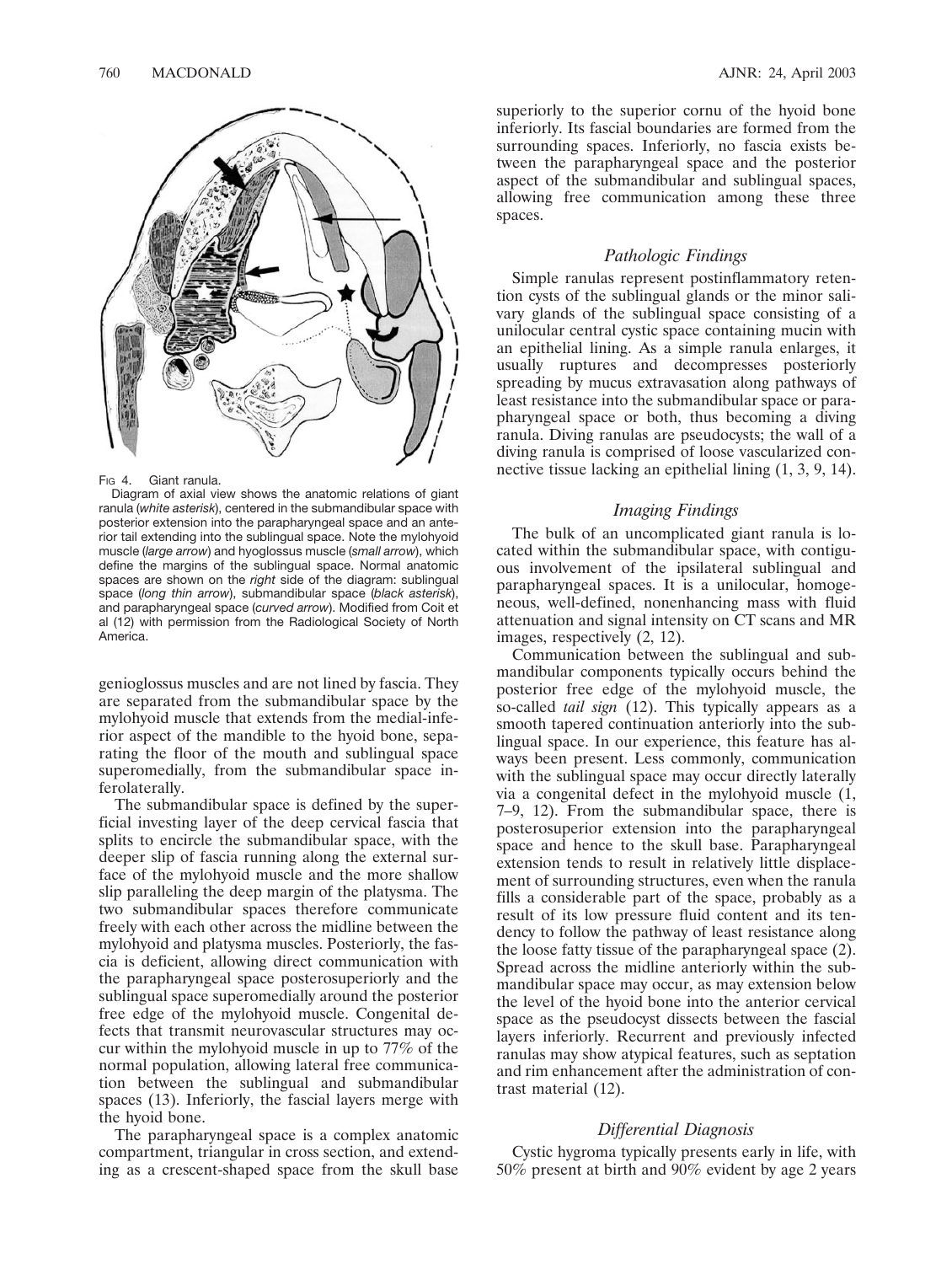

#### FIG 4. Giant ranula.

Diagram of axial view shows the anatomic relations of giant ranula (*white asterisk*), centered in the submandibular space with posterior extension into the parapharyngeal space and an anterior tail extending into the sublingual space. Note the mylohyoid muscle (*large arrow*) and hyoglossus muscle (*small arrow*), which define the margins of the sublingual space. Normal anatomic spaces are shown on the *right* side of the diagram: sublingual space (*long thin arrow*), submandibular space (*black asterisk*), and parapharyngeal space (*curved arrow*). Modified from Coit et al (12) with permission from the Radiological Society of North America.

genioglossus muscles and are not lined by fascia. They are separated from the submandibular space by the mylohyoid muscle that extends from the medial-inferior aspect of the mandible to the hyoid bone, separating the floor of the mouth and sublingual space superomedially, from the submandibular space inferolaterally.

The submandibular space is defined by the superficial investing layer of the deep cervical fascia that splits to encircle the submandibular space, with the deeper slip of fascia running along the external surface of the mylohyoid muscle and the more shallow slip paralleling the deep margin of the platysma. The two submandibular spaces therefore communicate freely with each other across the midline between the mylohyoid and platysma muscles. Posteriorly, the fascia is deficient, allowing direct communication with the parapharyngeal space posterosuperiorly and the sublingual space superomedially around the posterior free edge of the mylohyoid muscle. Congenital defects that transmit neurovascular structures may occur within the mylohyoid muscle in up to 77% of the normal population, allowing lateral free communication between the sublingual and submandibular spaces (13). Inferiorly, the fascial layers merge with the hyoid bone.

The parapharyngeal space is a complex anatomic compartment, triangular in cross section, and extending as a crescent-shaped space from the skull base

superiorly to the superior cornu of the hyoid bone inferiorly. Its fascial boundaries are formed from the surrounding spaces. Inferiorly, no fascia exists between the parapharyngeal space and the posterior aspect of the submandibular and sublingual spaces, allowing free communication among these three spaces.

## *Pathologic Findings*

Simple ranulas represent postinflammatory retention cysts of the sublingual glands or the minor salivary glands of the sublingual space consisting of a unilocular central cystic space containing mucin with an epithelial lining. As a simple ranula enlarges, it usually ruptures and decompresses posteriorly spreading by mucus extravasation along pathways of least resistance into the submandibular space or parapharyngeal space or both, thus becoming a diving ranula. Diving ranulas are pseudocysts; the wall of a diving ranula is comprised of loose vascularized connective tissue lacking an epithelial lining (1, 3, 9, 14).

# *Imaging Findings*

The bulk of an uncomplicated giant ranula is located within the submandibular space, with contiguous involvement of the ipsilateral sublingual and parapharyngeal spaces. It is a unilocular, homogeneous, well-defined, nonenhancing mass with fluid attenuation and signal intensity on CT scans and MR images, respectively (2, 12).

Communication between the sublingual and submandibular components typically occurs behind the posterior free edge of the mylohyoid muscle, the so-called *tail sign* (12). This typically appears as a smooth tapered continuation anteriorly into the sublingual space. In our experience, this feature has always been present. Less commonly, communication with the sublingual space may occur directly laterally via a congenital defect in the mylohyoid muscle (1, 7–9, 12). From the submandibular space, there is posterosuperior extension into the parapharyngeal space and hence to the skull base. Parapharyngeal extension tends to result in relatively little displacement of surrounding structures, even when the ranula fills a considerable part of the space, probably as a result of its low pressure fluid content and its tendency to follow the pathway of least resistance along the loose fatty tissue of the parapharyngeal space (2). Spread across the midline anteriorly within the submandibular space may occur, as may extension below the level of the hyoid bone into the anterior cervical space as the pseudocyst dissects between the fascial layers inferiorly. Recurrent and previously infected ranulas may show atypical features, such as septation and rim enhancement after the administration of contrast material (12).

# *Differential Diagnosis*

Cystic hygroma typically presents early in life, with 50% present at birth and 90% evident by age 2 years